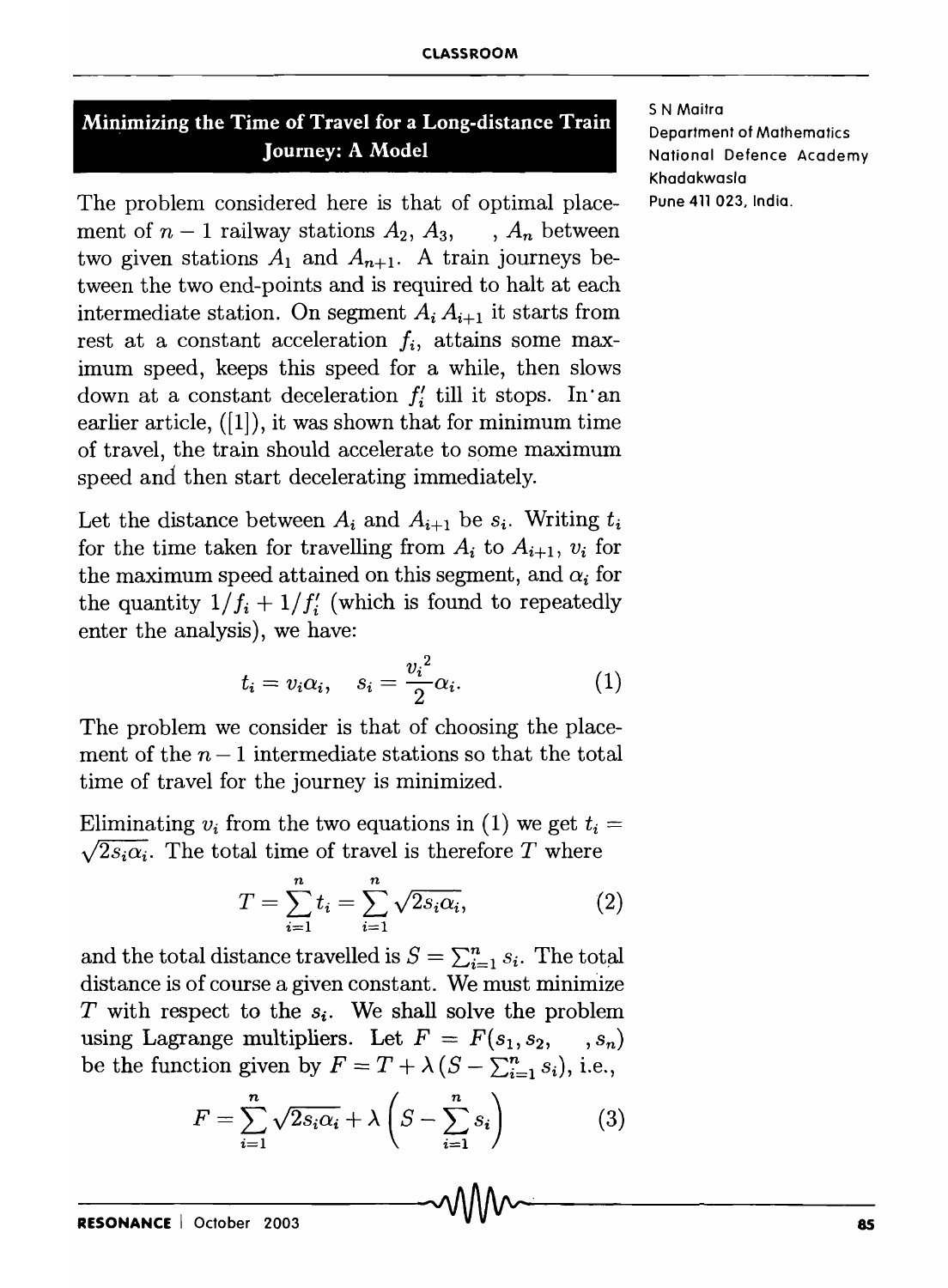## **Minimizing the Time of Travel for a Long-distance Train Journey: A Model**

The problem considered here is that of optimal place- Pune 411 023, India. ment of  $n-1$  railway stations  $A_2, A_3, \ldots, A_n$  between two given stations  $A_1$  and  $A_{n+1}$ . A train journeys between the two end-points and is required to halt at each intermediate station. On segment  $A_i A_{i+1}$  it starts from rest at a constant acceleration  $f_i$ , attains some maximum speed, keeps this speed for a while, then slows down at a constant deceleration  $f_i'$  till it stops. In an earlier article, ([1]), it was shown that for minimum time of travel, the train should accelerate to some maximum speed and then start decelerating immediately.

Let the distance between  $A_i$  and  $A_{i+1}$  be  $s_i$ . Writing  $t_i$ for the time taken for travelling from  $A_i$  to  $A_{i+1}$ ,  $v_i$  for the maximum speed attained on this segment, and  $\alpha_i$  for the quantity  $1/f_i + 1/f_i'$  (which is found to repeatedly enter the analysis), we have:

$$
t_i = v_i \alpha_i, \quad s_i = \frac{{v_i}^2}{2} \alpha_i. \tag{1}
$$

The problem we consider is that of choosing the placement of the  $n-1$  intermediate stations so that the total time of travel for the journey is minimized.

Eliminating  $v_i$  from the two equations in (1) we get  $t_i =$  $\sqrt{2s_i\alpha_i}$ . The total time of travel is therefore T where

$$
T = \sum_{i=1}^{n} t_i = \sum_{i=1}^{n} \sqrt{2s_i \alpha_i},
$$
 (2)

and the total distance travelled is  $S = \sum_{i=1}^{n} s_i$ . The total distance is of course a given constant. We must minimize *T* with respect to the  $s_i$ . We shall solve the problem using Lagrange multipliers. Let  $F = F(s_1, s_2, \ldots, s_n)$ be the function given by  $F = T + \lambda (S - \sum_{i=1}^n s_i)$ , i.e.,

$$
F = \sum_{i=1}^{n} \sqrt{2s_i \alpha_i} + \lambda \left( S - \sum_{i=1}^{n} s_i \right) \tag{3}
$$

5 N Maitra Department of Mathematics National Defence Academy Khadakwasla